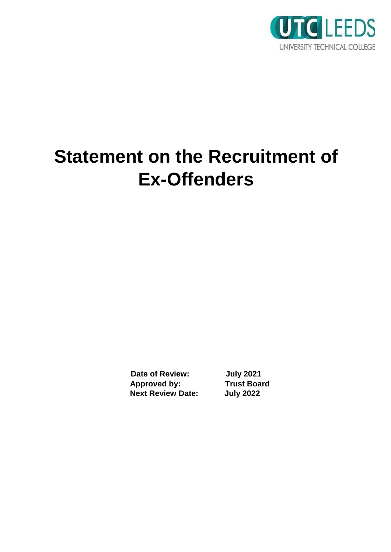

## **Statement on the Recruitment of Ex-Offenders**

**Date of Review: July 2021 Approved by: Trust Board Next Review Date: July 2022**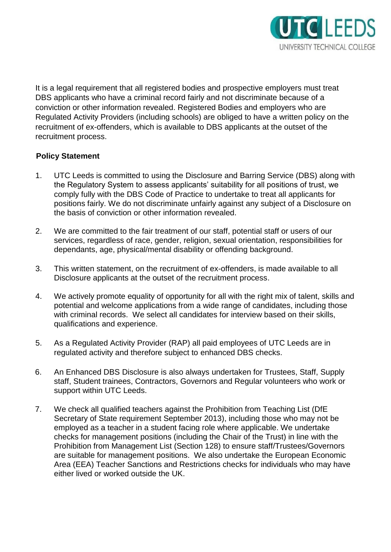

It is a legal requirement that all registered bodies and prospective employers must treat DBS applicants who have a criminal record fairly and not discriminate because of a conviction or other information revealed. Registered Bodies and employers who are Regulated Activity Providers (including schools) are obliged to have a written policy on the recruitment of ex-offenders, which is available to DBS applicants at the outset of the recruitment process.

## **Policy Statement**

- 1. UTC Leeds is committed to using the Disclosure and Barring Service (DBS) along with the Regulatory System to assess applicants' suitability for all positions of trust, we comply fully with the DBS Code of Practice to undertake to treat all applicants for positions fairly. We do not discriminate unfairly against any subject of a Disclosure on the basis of conviction or other information revealed.
- 2. We are committed to the fair treatment of our staff, potential staff or users of our services, regardless of race, gender, religion, sexual orientation, responsibilities for dependants, age, physical/mental disability or offending background.
- 3. This written statement, on the recruitment of ex-offenders, is made available to all Disclosure applicants at the outset of the recruitment process.
- 4. We actively promote equality of opportunity for all with the right mix of talent, skills and potential and welcome applications from a wide range of candidates, including those with criminal records. We select all candidates for interview based on their skills, qualifications and experience.
- 5. As a Regulated Activity Provider (RAP) all paid employees of UTC Leeds are in regulated activity and therefore subject to enhanced DBS checks.
- 6. An Enhanced DBS Disclosure is also always undertaken for Trustees, Staff, Supply staff, Student trainees, Contractors, Governors and Regular volunteers who work or support within UTC Leeds.
- 7. We check all qualified teachers against the Prohibition from Teaching List (DfE Secretary of State requirement September 2013), including those who may not be employed as a teacher in a student facing role where applicable. We undertake checks for management positions (including the Chair of the Trust) in line with the Prohibition from Management List (Section 128) to ensure staff/Trustees/Governors are suitable for management positions. We also undertake the European Economic Area (EEA) Teacher Sanctions and Restrictions checks for individuals who may have either lived or worked outside the UK.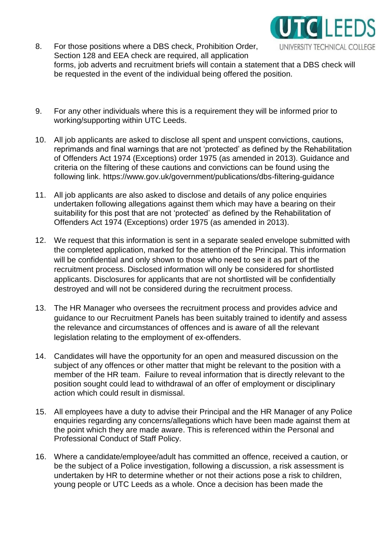

- 8. For those positions where a DBS check, Prohibition Order, UNIVERSITY TECHNICAL COLLEGE Section 128 and EEA check are required, all application forms, job adverts and recruitment briefs will contain a statement that a DBS check will be requested in the event of the individual being offered the position.
- 9. For any other individuals where this is a requirement they will be informed prior to working/supporting within UTC Leeds.
- 10. All job applicants are asked to disclose all spent and unspent convictions, cautions, reprimands and final warnings that are not 'protected' as defined by the Rehabilitation of Offenders Act 1974 (Exceptions) order 1975 (as amended in 2013). Guidance and criteria on the filtering of these cautions and convictions can be found using the following link.<https://www.gov.uk/government/publications/dbs-filtering-guidance>
- 11. All job applicants are also asked to disclose and details of any police enquiries undertaken following allegations against them which may have a bearing on their suitability for this post that are not 'protected' as defined by the Rehabilitation of Offenders Act 1974 (Exceptions) order 1975 (as amended in 2013).
- 12. We request that this information is sent in a separate sealed envelope submitted with the completed application, marked for the attention of the Principal. This information will be confidential and only shown to those who need to see it as part of the recruitment process. Disclosed information will only be considered for shortlisted applicants. Disclosures for applicants that are not shortlisted will be confidentially destroyed and will not be considered during the recruitment process.
- 13. The HR Manager who oversees the recruitment process and provides advice and guidance to our Recruitment Panels has been suitably trained to identify and assess the relevance and circumstances of offences and is aware of all the relevant legislation relating to the employment of ex-offenders.
- 14. Candidates will have the opportunity for an open and measured discussion on the subject of any offences or other matter that might be relevant to the position with a member of the HR team. Failure to reveal information that is directly relevant to the position sought could lead to withdrawal of an offer of employment or disciplinary action which could result in dismissal.
- 15. All employees have a duty to advise their Principal and the HR Manager of any Police enquiries regarding any concerns/allegations which have been made against them at the point which they are made aware. This is referenced within the Personal and Professional Conduct of Staff Policy.
- 16. Where a candidate/employee/adult has committed an offence, received a caution, or be the subject of a Police investigation, following a discussion, a risk assessment is undertaken by HR to determine whether or not their actions pose a risk to children, young people or UTC Leeds as a whole. Once a decision has been made the